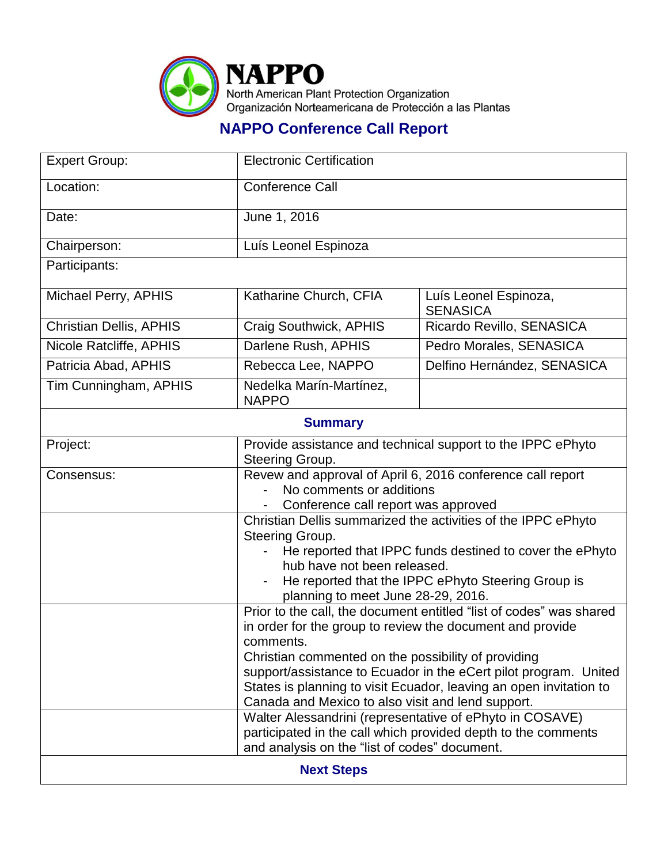

## **NAPPO Conference Call Report**

| <b>Expert Group:</b>           | <b>Electronic Certification</b>                                                                                                                                                                                                                                                                                                                                                                                                                                 |                                          |  |
|--------------------------------|-----------------------------------------------------------------------------------------------------------------------------------------------------------------------------------------------------------------------------------------------------------------------------------------------------------------------------------------------------------------------------------------------------------------------------------------------------------------|------------------------------------------|--|
| Location:                      | Conference Call                                                                                                                                                                                                                                                                                                                                                                                                                                                 |                                          |  |
| Date:                          | June 1, 2016                                                                                                                                                                                                                                                                                                                                                                                                                                                    |                                          |  |
| Chairperson:                   | Luís Leonel Espinoza                                                                                                                                                                                                                                                                                                                                                                                                                                            |                                          |  |
| Participants:                  |                                                                                                                                                                                                                                                                                                                                                                                                                                                                 |                                          |  |
| Michael Perry, APHIS           | Katharine Church, CFIA                                                                                                                                                                                                                                                                                                                                                                                                                                          | Luís Leonel Espinoza,<br><b>SENASICA</b> |  |
| <b>Christian Dellis, APHIS</b> | Craig Southwick, APHIS                                                                                                                                                                                                                                                                                                                                                                                                                                          | Ricardo Revillo, SENASICA                |  |
| Nicole Ratcliffe, APHIS        | Darlene Rush, APHIS                                                                                                                                                                                                                                                                                                                                                                                                                                             | Pedro Morales, SENASICA                  |  |
| Patricia Abad, APHIS           | Rebecca Lee, NAPPO                                                                                                                                                                                                                                                                                                                                                                                                                                              | Delfino Hernández, SENASICA              |  |
| Tim Cunningham, APHIS          | Nedelka Marín-Martínez,<br><b>NAPPO</b>                                                                                                                                                                                                                                                                                                                                                                                                                         |                                          |  |
| <b>Summary</b>                 |                                                                                                                                                                                                                                                                                                                                                                                                                                                                 |                                          |  |
| Project:                       | Provide assistance and technical support to the IPPC ePhyto<br>Steering Group.                                                                                                                                                                                                                                                                                                                                                                                  |                                          |  |
| Consensus:                     | Revew and approval of April 6, 2016 conference call report<br>No comments or additions<br>Conference call report was approved                                                                                                                                                                                                                                                                                                                                   |                                          |  |
|                                | Christian Dellis summarized the activities of the IPPC ePhyto<br>Steering Group.<br>He reported that IPPC funds destined to cover the ePhyto<br>hub have not been released.<br>He reported that the IPPC ePhyto Steering Group is<br>planning to meet June 28-29, 2016.                                                                                                                                                                                         |                                          |  |
|                                | Prior to the call, the document entitled "list of codes" was shared<br>in order for the group to review the document and provide<br>comments.<br>Christian commented on the possibility of providing<br>support/assistance to Ecuador in the eCert pilot program. United<br>States is planning to visit Ecuador, leaving an open invitation to<br>Canada and Mexico to also visit and lend support.<br>Walter Alessandrini (representative of ePhyto in COSAVE) |                                          |  |
|                                | participated in the call which provided depth to the comments<br>and analysis on the "list of codes" document.                                                                                                                                                                                                                                                                                                                                                  |                                          |  |
| <b>Next Steps</b>              |                                                                                                                                                                                                                                                                                                                                                                                                                                                                 |                                          |  |